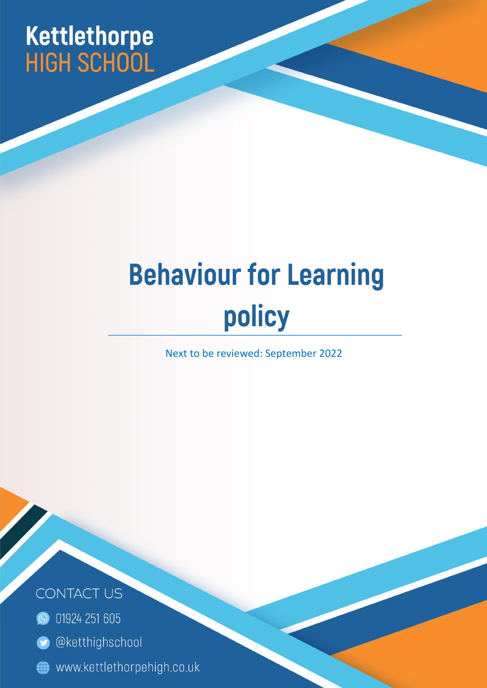# Kettlethorpe<br>HIGH SCHOOL

# **Behaviour for Learning** policy

Next to be reviewed: September 2022

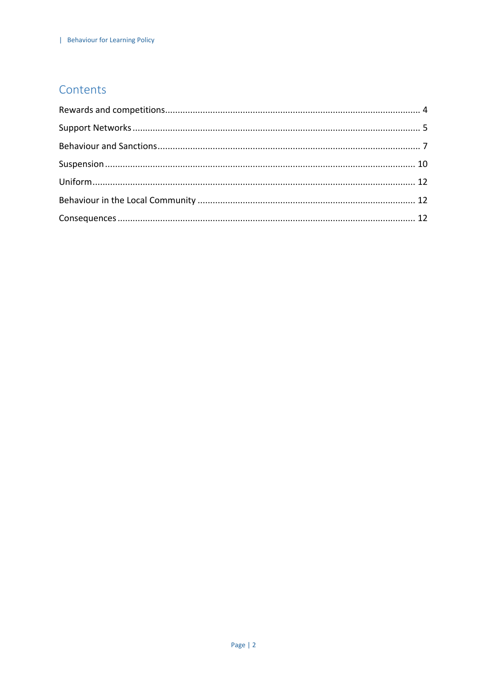# Contents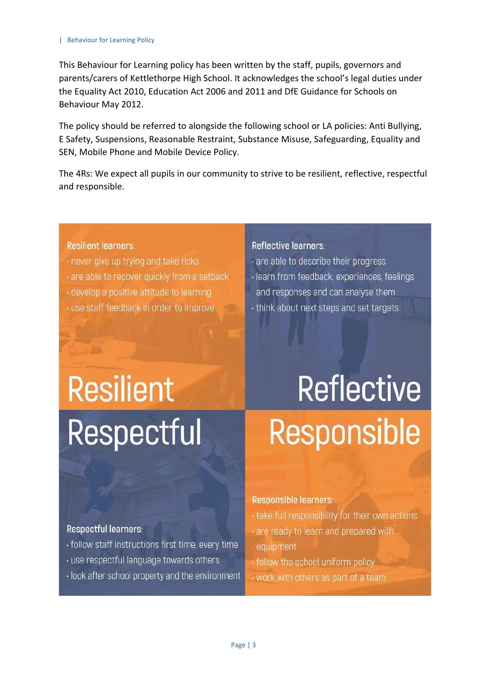This Behaviour for Learning policy has been written by the staff, pupils, governors and parents/carers of Kettlethorpe High School. It acknowledges the school's legal duties under the Equality Act 2010, Education Act 2006 and 2011 and DfE Guidance for Schools on Behaviour May 2012.

The policy should be referred to alongside the following school or LA policies: Anti Bullying, E Safety, Suspensions, Reasonable Restraint, Substance Misuse, Safeguarding, Equality and SEN, Mobile Phone and Mobile Device Policy.

The 4Rs: We expect all pupils in our community to strive to be resilient, reflective, respectful and responsible.

#### **Resilient learners:**

- . never give up trying and take risks
- are able to recover quickly from a setback
- · develop a positive attitude to learning
- · use staff feedback in order to improve

#### Reflective learners:

- are able to describe their progress
- · learn from feedback, experiences, feelings
	- and responses and can analyse them
- · think about next steps and set targets

# **Resilient Respectful**

# **Reflective Responsible**

#### Respectful learners:

- · follow staff instructions first time, every time
- · use respectful language towards others
- · look after school property and the environment

#### **Responsible learners:**

- take full responsibility for their own actions
- are ready to learn and prepared with equipment
- follow the school uniform policy
- work with others as part of a team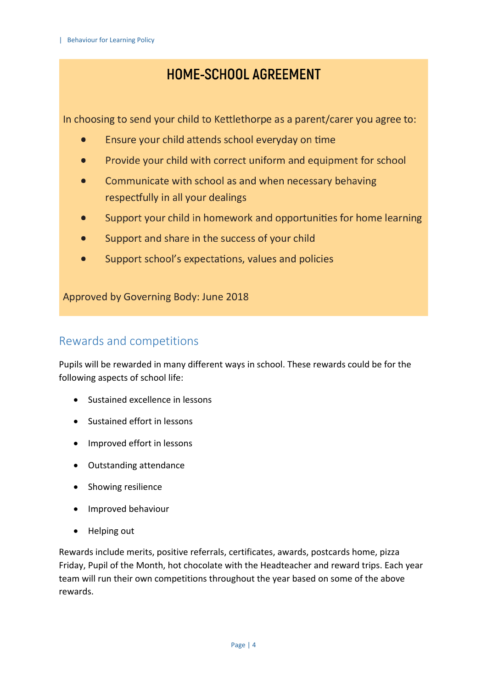# HOME-SCHOOL AGREEMENT

In choosing to send your child to Kettlethorpe as a parent/carer you agree to:

- Ensure your child attends school everyday on time  $\bullet$
- Provide your child with correct uniform and equipment for school
- Communicate with school as and when necessary behaving respectfully in all your dealings
- Support your child in homework and opportunities for home learning
- Support and share in the success of your child  $\bullet$
- Support school's expectations, values and policies

Approved by Governing Body: June 2018

# <span id="page-3-0"></span>Rewards and competitions

Pupils will be rewarded in many different ways in school. These rewards could be for the following aspects of school life:

- Sustained excellence in lessons
- Sustained effort in lessons
- Improved effort in lessons
- Outstanding attendance
- Showing resilience
- Improved behaviour
- Helping out

Rewards include merits, positive referrals, certificates, awards, postcards home, pizza Friday, Pupil of the Month, hot chocolate with the Headteacher and reward trips. Each year team will run their own competitions throughout the year based on some of the above rewards.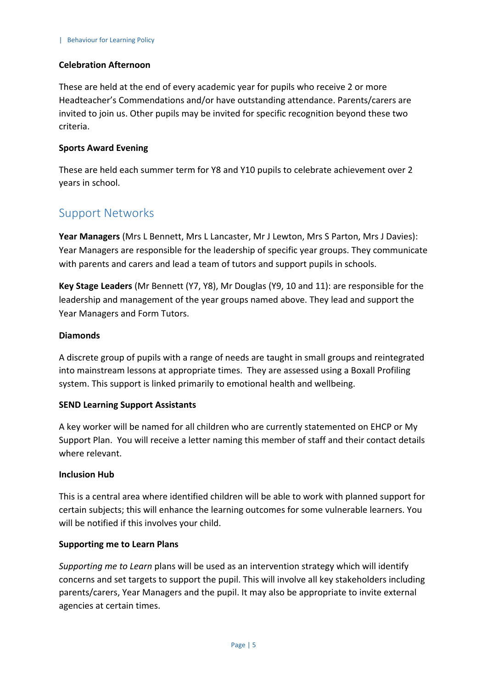#### **Celebration Afternoon**

These are held at the end of every academic year for pupils who receive 2 or more Headteacher's Commendations and/or have outstanding attendance. Parents/carers are invited to join us. Other pupils may be invited for specific recognition beyond these two criteria.

#### **Sports Award Evening**

These are held each summer term for Y8 and Y10 pupils to celebrate achievement over 2 years in school.

## <span id="page-4-0"></span>Support Networks

**Year Managers** (Mrs L Bennett, Mrs L Lancaster, Mr J Lewton, Mrs S Parton, Mrs J Davies): Year Managers are responsible for the leadership of specific year groups. They communicate with parents and carers and lead a team of tutors and support pupils in schools.

**Key Stage Leaders** (Mr Bennett (Y7, Y8), Mr Douglas (Y9, 10 and 11): are responsible for the leadership and management of the year groups named above. They lead and support the Year Managers and Form Tutors.

#### **Diamonds**

A discrete group of pupils with a range of needs are taught in small groups and reintegrated into mainstream lessons at appropriate times. They are assessed using a Boxall Profiling system. This support is linked primarily to emotional health and wellbeing.

#### **SEND Learning Support Assistants**

A key worker will be named for all children who are currently statemented on EHCP or My Support Plan. You will receive a letter naming this member of staff and their contact details where relevant.

#### **Inclusion Hub**

This is a central area where identified children will be able to work with planned support for certain subjects; this will enhance the learning outcomes for some vulnerable learners. You will be notified if this involves your child.

#### **Supporting me to Learn Plans**

*Supporting me to Learn* plans will be used as an intervention strategy which will identify concerns and set targets to support the pupil. This will involve all key stakeholders including parents/carers, Year Managers and the pupil. It may also be appropriate to invite external agencies at certain times.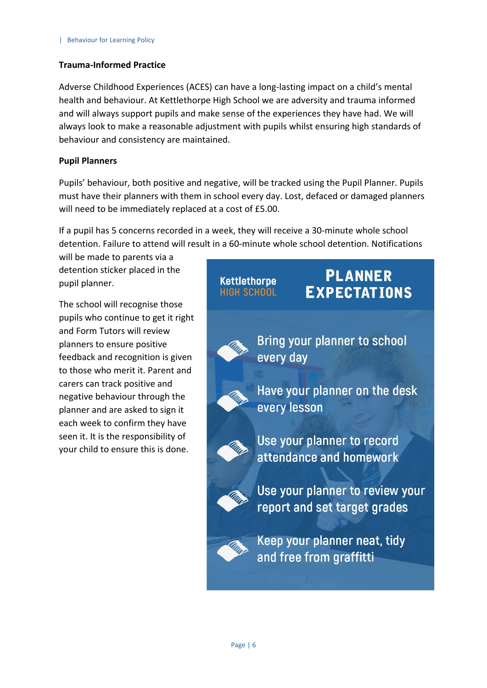#### **Trauma-Informed Practice**

Adverse Childhood Experiences (ACES) can have a long-lasting impact on a child's mental health and behaviour. At Kettlethorpe High School we are adversity and trauma informed and will always support pupils and make sense of the experiences they have had. We will always look to make a reasonable adjustment with pupils whilst ensuring high standards of behaviour and consistency are maintained.

#### **Pupil Planners**

Pupils' behaviour, both positive and negative, will be tracked using the Pupil Planner. Pupils must have their planners with them in school every day. Lost, defaced or damaged planners will need to be immediately replaced at a cost of £5.00.

If a pupil has 5 concerns recorded in a week, they will receive a 30-minute whole school detention. Failure to attend will result in a 60-minute whole school detention. Notifications

will be made to parents via a detention sticker placed in the pupil planner.

The school will recognise those pupils who continue to get it right and Form Tutors will review planners to ensure positive feedback and recognition is given to those who merit it. Parent and carers can track positive and negative behaviour through the planner and are asked to sign it each week to confirm they have seen it. It is the responsibility of your child to ensure this is done.

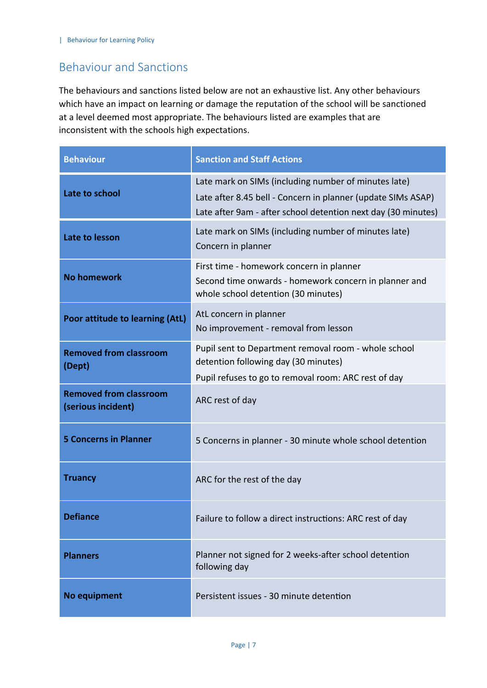# <span id="page-6-0"></span>Behaviour and Sanctions

The behaviours and sanctions listed below are not an exhaustive list. Any other behaviours which have an impact on learning or damage the reputation of the school will be sanctioned at a level deemed most appropriate. The behaviours listed are examples that are inconsistent with the schools high expectations.

| <b>Behaviour</b>                                    | <b>Sanction and Staff Actions</b>                                                                                                                                                     |
|-----------------------------------------------------|---------------------------------------------------------------------------------------------------------------------------------------------------------------------------------------|
| Late to school                                      | Late mark on SIMs (including number of minutes late)<br>Late after 8.45 bell - Concern in planner (update SIMs ASAP)<br>Late after 9am - after school detention next day (30 minutes) |
| Late to lesson                                      | Late mark on SIMs (including number of minutes late)<br>Concern in planner                                                                                                            |
| <b>No homework</b>                                  | First time - homework concern in planner<br>Second time onwards - homework concern in planner and<br>whole school detention (30 minutes)                                              |
| Poor attitude to learning (AtL)                     | AtL concern in planner<br>No improvement - removal from lesson                                                                                                                        |
| <b>Removed from classroom</b><br>(Dept)             | Pupil sent to Department removal room - whole school<br>detention following day (30 minutes)<br>Pupil refuses to go to removal room: ARC rest of day                                  |
| <b>Removed from classroom</b><br>(serious incident) | ARC rest of day                                                                                                                                                                       |
| <b>5 Concerns in Planner</b>                        | 5 Concerns in planner - 30 minute whole school detention                                                                                                                              |
| <b>Truancy</b>                                      | ARC for the rest of the day                                                                                                                                                           |
| <b>Defiance</b>                                     | Failure to follow a direct instructions: ARC rest of day                                                                                                                              |
| <b>Planners</b>                                     | Planner not signed for 2 weeks-after school detention<br>following day                                                                                                                |
| No equipment                                        | Persistent issues - 30 minute detention                                                                                                                                               |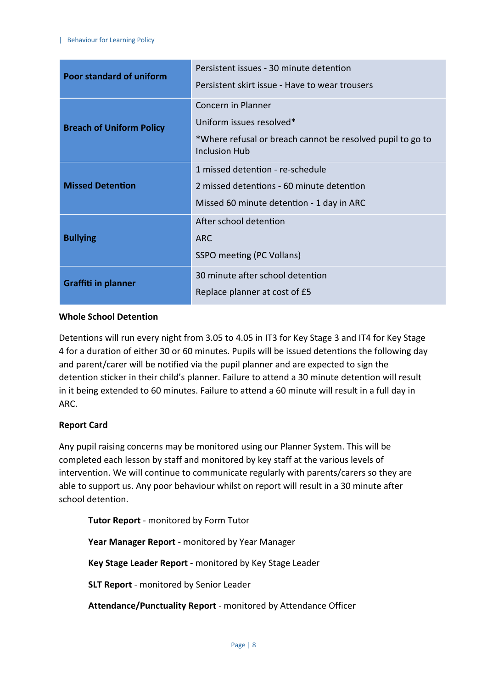| <b>Poor standard of uniform</b> | Persistent issues - 30 minute detention<br>Persistent skirt issue - Have to wear trousers                                            |
|---------------------------------|--------------------------------------------------------------------------------------------------------------------------------------|
| <b>Breach of Uniform Policy</b> | Concern in Planner<br>Uniform issues resolved*<br>*Where refusal or breach cannot be resolved pupil to go to<br><b>Inclusion Hub</b> |
| <b>Missed Detention</b>         | 1 missed detention - re-schedule<br>2 missed detentions - 60 minute detention<br>Missed 60 minute detention - 1 day in ARC           |
| <b>Bullying</b>                 | After school detention<br><b>ARC</b><br>SSPO meeting (PC Vollans)                                                                    |
| <b>Graffiti in planner</b>      | 30 minute after school detention<br>Replace planner at cost of £5                                                                    |

#### **Whole School Detention**

Detentions will run every night from 3.05 to 4.05 in IT3 for Key Stage 3 and IT4 for Key Stage 4 for a duration of either 30 or 60 minutes. Pupils will be issued detentions the following day and parent/carer will be notified via the pupil planner and are expected to sign the detention sticker in their child's planner. Failure to attend a 30 minute detention will result in it being extended to 60 minutes. Failure to attend a 60 minute will result in a full day in ARC.

#### **Report Card**

Any pupil raising concerns may be monitored using our Planner System. This will be completed each lesson by staff and monitored by key staff at the various levels of intervention. We will continue to communicate regularly with parents/carers so they are able to support us. Any poor behaviour whilst on report will result in a 30 minute after school detention.

**Tutor Report** - monitored by Form Tutor

**Year Manager Report** - monitored by Year Manager

**Key Stage Leader Report** - monitored by Key Stage Leader

**SLT Report** - monitored by Senior Leader

**Attendance/Punctuality Report** - monitored by Attendance Officer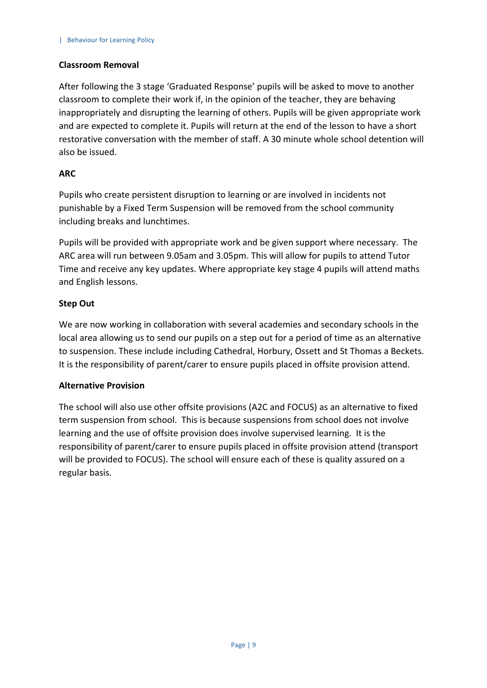#### **Classroom Removal**

After following the 3 stage 'Graduated Response' pupils will be asked to move to another classroom to complete their work if, in the opinion of the teacher, they are behaving inappropriately and disrupting the learning of others. Pupils will be given appropriate work and are expected to complete it. Pupils will return at the end of the lesson to have a short restorative conversation with the member of staff. A 30 minute whole school detention will also be issued.

#### **ARC**

Pupils who create persistent disruption to learning or are involved in incidents not punishable by a Fixed Term Suspension will be removed from the school community including breaks and lunchtimes.

Pupils will be provided with appropriate work and be given support where necessary. The ARC area will run between 9.05am and 3.05pm. This will allow for pupils to attend Tutor Time and receive any key updates. Where appropriate key stage 4 pupils will attend maths and English lessons.

#### **Step Out**

We are now working in collaboration with several academies and secondary schools in the local area allowing us to send our pupils on a step out for a period of time as an alternative to suspension. These include including Cathedral, Horbury, Ossett and St Thomas a Beckets. It is the responsibility of parent/carer to ensure pupils placed in offsite provision attend.

#### **Alternative Provision**

The school will also use other offsite provisions (A2C and FOCUS) as an alternative to fixed term suspension from school. This is because suspensions from school does not involve learning and the use of offsite provision does involve supervised learning. It is the responsibility of parent/carer to ensure pupils placed in offsite provision attend (transport will be provided to FOCUS). The school will ensure each of these is quality assured on a regular basis.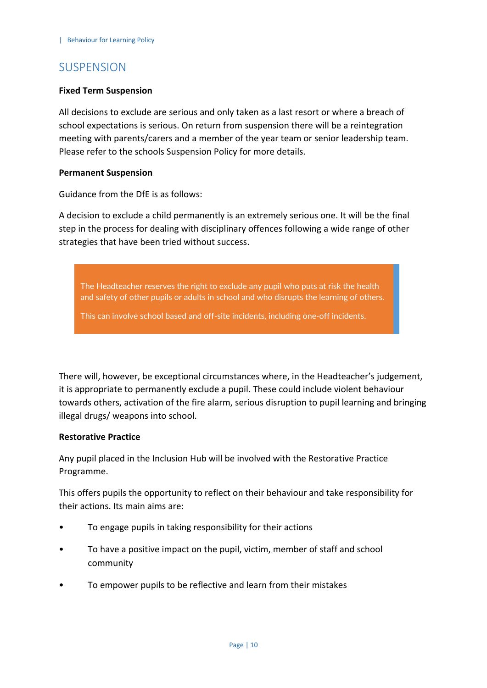## **SUSPENSION**

#### **Fixed Term Suspension**

All decisions to exclude are serious and only taken as a last resort or where a breach of school expectations is serious. On return from suspension there will be a reintegration meeting with parents/carers and a member of the year team or senior leadership team. Please refer to the schools Suspension Policy for more details.

#### **Permanent Suspension**

Guidance from the DfE is as follows:

A decision to exclude a child permanently is an extremely serious one. It will be the final step in the process for dealing with disciplinary offences following a wide range of other strategies that have been tried without success.

The Headteacher reserves the right to exclude any pupil who puts at risk the health and safety of other pupils or adults in school and who disrupts the learning of others.

This can involve school based and off-site incidents, including one-off incidents.

There will, however, be exceptional circumstances where, in the Headteacher's judgement, it is appropriate to permanently exclude a pupil. These could include violent behaviour towards others, activation of the fire alarm, serious disruption to pupil learning and bringing illegal drugs/ weapons into school.

#### **Restorative Practice**

Any pupil placed in the Inclusion Hub will be involved with the Restorative Practice Programme.

This offers pupils the opportunity to reflect on their behaviour and take responsibility for their actions. Its main aims are:

- To engage pupils in taking responsibility for their actions
- To have a positive impact on the pupil, victim, member of staff and school community
- To empower pupils to be reflective and learn from their mistakes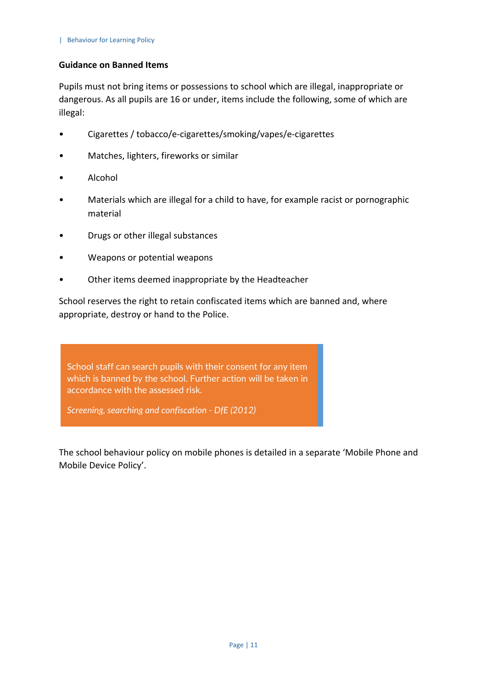#### **Guidance on Banned Items**

Pupils must not bring items or possessions to school which are illegal, inappropriate or dangerous. As all pupils are 16 or under, items include the following, some of which are illegal:

- Cigarettes / tobacco/e-cigarettes/smoking/vapes/e-cigarettes
- Matches, lighters, fireworks or similar
- Alcohol
- Materials which are illegal for a child to have, for example racist or pornographic material
- Drugs or other illegal substances
- Weapons or potential weapons
- Other items deemed inappropriate by the Headteacher

School reserves the right to retain confiscated items which are banned and, where appropriate, destroy or hand to the Police.

School staff can search pupils with their consent for any item which is banned by the school. Further action will be taken in accordance with the assessed risk.

*Screening, searching and confiscation - DfE (2012)*

The school behaviour policy on mobile phones is detailed in a separate 'Mobile Phone and Mobile Device Policy'.